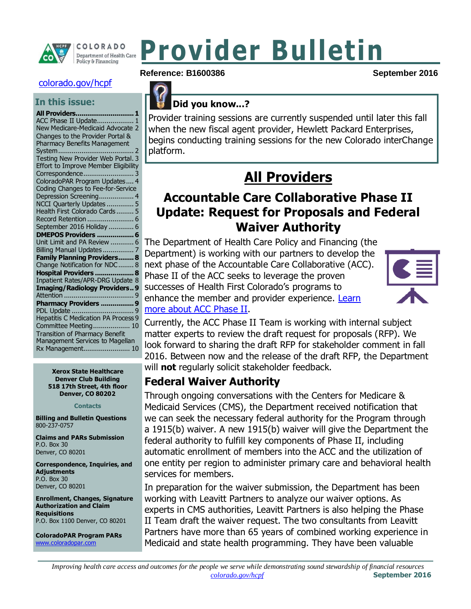

# **Provider Bulletin**

#### [colorado.gov/hcpf](http://www.colorado.gov/hcpf)

#### **In this issue:**

#### **[All Providers..............................1](#page-0-0)**

ACC [Phase II Update...................](#page-0-1) [1](#page-0-1) [New Medicare-Medicaid Advocate](#page-1-0) [2](#page-1-0) [Changes to the Provider Portal &](#page-1-1)  [Pharmacy Benefits Management](#page-1-1)  [System.......................................](#page-1-1) [2](#page-1-1) [Testing New Provider Web Portal.](#page-2-0) [3](#page-2-0) [Effort to Improve Member Eligibility](#page-2-1)  [Correspondence..........................](#page-2-1) [3](#page-2-1) [ColoradoPAR Program Updates....](#page-3-0) [4](#page-3-0) [Coding Changes to](#page-3-1) Fee-for-Service [Depression Screening..................](#page-3-1) [4](#page-3-1) [NCCI Quarterly Updates](#page-4-0) .............. [5](#page-4-0) [Health First Colorado](#page-4-1) Cards ......... [5](#page-4-1) [Record Retention](#page-5-0) ........................ [6](#page-5-0) [September 2016 Holiday](#page-5-1) ............. [6](#page-5-1) **DMEPOS Providers [...................6](#page-5-2)** [Unit Limit and PA](#page-5-3) Review ............ [6](#page-5-3) [Billing Manual Updates](#page-6-0) ................ [7](#page-6-0) **[Family Planning Providers........8](#page-7-0)** [Change Notification for NDC........](#page-7-1) [8](#page-7-1) **[Hospital Providers](#page-7-2) ...................[.8](#page-7-2)** [Inpatient Rates/APR-DRG](#page-7-3) Update [8](#page-7-3) **[Imaging/Radiology Providers..9](#page-8-0)** Attention [....................................](#page-8-1) [9](#page-8-1) **[Pharmacy Providers](#page-8-2) ................[.9](#page-8-2)** PDL Update [................................](#page-8-3) [9](#page-8-3) [Hepatitis C Medication PA](#page-8-4) Process [9](#page-8-4) [Committee Meeting...................](#page-9-0) [10](#page-9-0) Transition of Pharmacy Benefit Management Services to Magellan Rx Management........................ 10

> **Xerox State Healthcare Denver Club Building 518 17th Street, 4th floor Denver, CO 80202**

> > **Contacts**

**Billing and Bulletin Questions** 800-237-0757

**Claims and PARs Submission** P.O. Box 30 Denver, CO 80201

**Correspondence, Inquiries, and Adjustments** P.O. Box 30 Denver, CO 80201

**Enrollment, Changes, Signature Authorization and Claim Requisitions** P.O. Box 1100 Denver, CO 80201

**ColoradoPAR Program PARs**  [www.coloradopar.com](http://www.coloradopar.com/)





#### **Did you know...?**

Provider training sessions are currently suspended until later this fall when the new fiscal agent provider, Hewlett Packard Enterprises, begins conducting training sessions for the new Colorado interChange platform.

# **All Providers**

### <span id="page-0-1"></span><span id="page-0-0"></span>**Accountable Care Collaborative Phase II Update: Request for Proposals and Federal Waiver Authority**

The Department of Health Care Policy and Financing (the Department) is working with our partners to develop the next phase of the Accountable Care Collaborative (ACC). Phase II of the ACC seeks to leverage the proven successes of Health First Colorado's programs to enhance the member and provider experience. Learn [more about ACC Phase II.](http://www.colorado.gov/hcpf/accphase2)



Currently, the ACC Phase II Team is working with internal subject matter experts to review the draft request for proposals (RFP). We look forward to sharing the draft RFP for stakeholder comment in fall 2016. Between now and the release of the draft RFP, the Department will **not** regularly solicit stakeholder feedback.

### **Federal Waiver Authority**

Through ongoing conversations with the Centers for Medicare & Medicaid Services (CMS), the Department received notification that we can seek the necessary federal authority for the Program through a 1915(b) waiver. A new 1915(b) waiver will give the Department the federal authority to fulfill key components of Phase II, including automatic enrollment of members into the ACC and the utilization of one entity per region to administer primary care and behavioral health services for members.

In preparation for the waiver submission, the Department has been working with Leavitt Partners to analyze our waiver options. As experts in CMS authorities, Leavitt Partners is also helping the Phase II Team draft the waiver request. The two consultants from Leavitt Partners have more than 65 years of combined working experience in Medicaid and state health programming. They have been valuable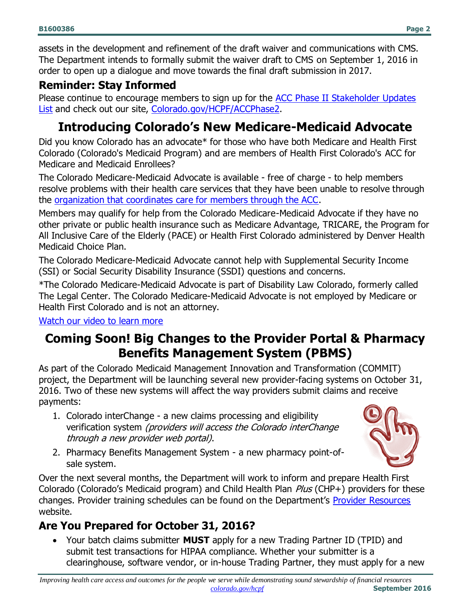assets in the development and refinement of the draft waiver and communications with CMS. The Department intends to formally submit the waiver draft to CMS on September 1, 2016 in order to open up a dialogue and move towards the final draft submission in 2017.

#### **Reminder: Stay Informed**

Please continue to encourage members to sign up for the [ACC Phase II Stakeholder Updates](http://visitor.r20.constantcontact.com/manage/optin?v=001HfxrbpGNWZ0lZnPp6t3PG2s9XPNl8ZvgFdjsKvSnhIy8z9JmHyp6DeoLJ3saT6x0SeqRR1ub149uoXxe1ok4jTzfMSQ0BN7S5vcLiRO7gdY%3D)  [List](http://visitor.r20.constantcontact.com/manage/optin?v=001HfxrbpGNWZ0lZnPp6t3PG2s9XPNl8ZvgFdjsKvSnhIy8z9JmHyp6DeoLJ3saT6x0SeqRR1ub149uoXxe1ok4jTzfMSQ0BN7S5vcLiRO7gdY%3D) and check out our site, [Colorado.gov/HCPF/ACCPhase2.](http://www.colorado.gov/hcpf/accphase2)

### <span id="page-1-0"></span>**Introducing Colorado's New Medicare-Medicaid Advocate**

Did you know Colorado has an advocate\* for those who have both Medicare and Health First Colorado (Colorado's Medicaid Program) and are members of Health First Colorado's ACC for Medicare and Medicaid Enrollees?

The Colorado Medicare-Medicaid Advocate is available - free of charge - to help members resolve problems with their health care services that they have been unable to resolve through the [organization that coordinates care for members through the ACC.](http://r20.rs6.net/tn.jsp?t=w6gnamyab.0.0.neinxztab.0&id=preview&r=3&p=https%3A%2F%2Fwww.colorado.gov%2Fhcpf%2Fregional-care-collaborative-organizations)

Members may qualify for help from the Colorado Medicare-Medicaid Advocate if they have no other private or public health insurance such as Medicare Advantage, TRICARE, the Program for All Inclusive Care of the Elderly (PACE) or Health First Colorado administered by Denver Health Medicaid Choice Plan.

The Colorado Medicare-Medicaid Advocate cannot help with Supplemental Security Income (SSI) or Social Security Disability Insurance (SSDI) questions and concerns.

\*The Colorado Medicare-Medicaid Advocate is part of Disability Law Colorado, formerly called The Legal Center. The Colorado Medicare-Medicaid Advocate is not employed by Medicare or Health First Colorado and is not an attorney.

[Watch our video to learn more](http://r20.rs6.net/tn.jsp?t=w6gnamyab.0.0.neinxztab.0&id=preview&r=3&p=https%3A%2F%2Fwww.youtube.com%2Fwatch%3Fv%3D4wwgf0Ac9yY)

### <span id="page-1-1"></span>**Coming Soon! Big Changes to the Provider Portal & Pharmacy Benefits Management System (PBMS)**

As part of the Colorado Medicaid Management Innovation and Transformation (COMMIT) project, the Department will be launching several new provider-facing systems on October 31, 2016. Two of these new systems will affect the way providers submit claims and receive payments:

- 1. Colorado interChange a new claims processing and eligibility verification system (providers will access the Colorado interChange through a new provider web portal).
- 2. Pharmacy Benefits Management System a new pharmacy point-ofsale system.

Over the next several months, the Department will work to inform and prepare Health First Colorado (Colorado's Medicaid program) and Child Health Plan Plus (CHP+) providers for these changes. Provider training schedules can be found on the Department's [Provider Resources](http://www.colorado.gov/hcpf/provider-resources) website.

### **Are You Prepared for October 31, 2016?**

 Your batch claims submitter **MUST** apply for a new Trading Partner ID (TPID) and submit test transactions for HIPAA compliance. Whether your submitter is a clearinghouse, software vendor, or in-house Trading Partner, they must apply for a new

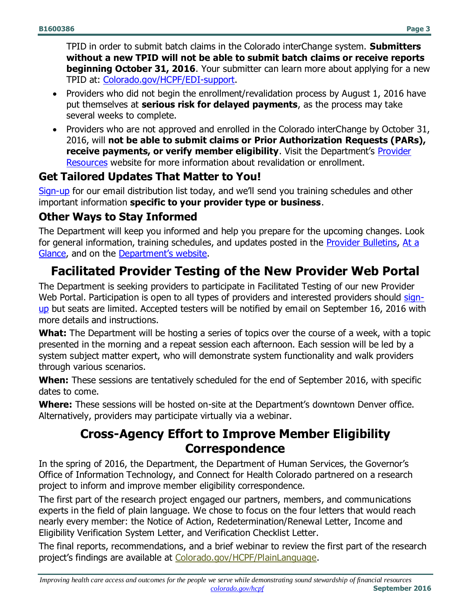TPID in order to submit batch claims in the Colorado interChange system. **Submitters without a new TPID will not be able to submit batch claims or receive reports beginning October 31, 2016**. Your submitter can learn more about applying for a new TPID at: [Colorado.gov/HCPF/EDI-support.](https://www.colorado.gov/pacific/hcpf/edi-support)

- Providers who did not begin the enrollment/revalidation process by August 1, 2016 have put themselves at **serious risk for delayed payments**, as the process may take several weeks to complete.
- Providers who are not approved and enrolled in the Colorado interChange by October 31, 2016, will **not be able to submit claims or Prior Authorization Requests (PARs), receive payments, or verify member eligibility**. Visit the Department's **Provider** [Resources](http://www.colorado.gov/hcpf/provider-resources) website for more information about revalidation or enrollment.

#### **Get Tailored Updates That Matter to You!**

[Sign-up](http://goo.gl/forms/zp5jIwcyxI) for our email distribution list today, and we'll send you training schedules and other important information **specific to your provider type or business**.

#### **Other Ways to Stay Informed**

The Department will keep you informed and help you prepare for the upcoming changes. Look for general information, training schedules, and updates posted in the [Provider Bulletins,](https://www.colorado.gov/hcpf/bulletins) [At a](https://www.colorado.gov/hcpf/publications)  [Glance,](https://www.colorado.gov/hcpf/publications) and on the [Department's website](https://www.colorado.gov/hcpf/our-providers).

### <span id="page-2-0"></span>**Facilitated Provider Testing of the New Provider Web Portal**

The Department is seeking providers to participate in Facilitated Testing of our new Provider Web Portal. Participation is open to all types of providers and interested providers should [sign](https://docs.google.com/forms/d/e/1FAIpQLSd0hwZoVN2v7o-n0Sw-iMrXTsWyodRmfV0fyxhFIhlc9v8E_Q/viewform?c=0&w=1)[up](https://docs.google.com/forms/d/e/1FAIpQLSd0hwZoVN2v7o-n0Sw-iMrXTsWyodRmfV0fyxhFIhlc9v8E_Q/viewform?c=0&w=1) but seats are limited. Accepted testers will be notified by email on September 16, 2016 with more details and instructions.

**What:** The Department will be hosting a series of topics over the course of a week, with a topic presented in the morning and a repeat session each afternoon. Each session will be led by a system subject matter expert, who will demonstrate system functionality and walk providers through various scenarios.

**When:** These sessions are tentatively scheduled for the end of September 2016, with specific dates to come.

<span id="page-2-1"></span>**Where:** These sessions will be hosted on-site at the Department's downtown Denver office. Alternatively, providers may participate virtually via a webinar.

### **Cross-Agency Effort to Improve Member Eligibility Correspondence**

In the spring of 2016, the Department, the Department of Human Services, the Governor's Office of Information Technology, and Connect for Health Colorado partnered on a research project to inform and improve member eligibility correspondence.

The first part of the research project engaged our partners, members, and communications experts in the field of plain language. We chose to focus on the four letters that would reach nearly every member: the Notice of Action, Redetermination/Renewal Letter, Income and Eligibility Verification System Letter, and Verification Checklist Letter.

The final reports, recommendations, and a brief webinar to review the first part of the research project's findings are available at [Colorado.gov/HCPF/PlainLanguage.](https://www.colorado.gov/HCPF/PlainLanguage)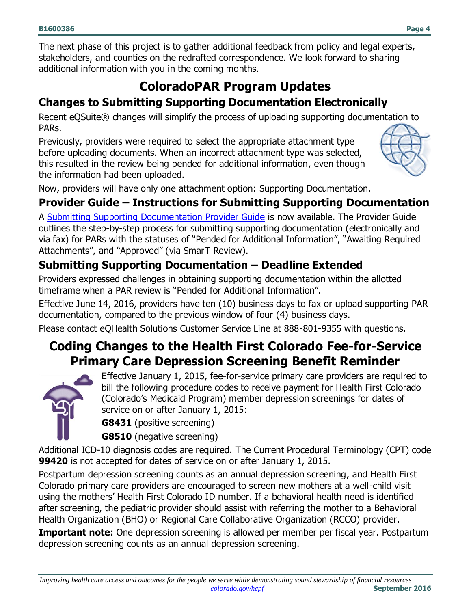The next phase of this project is to gather additional feedback from policy and legal experts, stakeholders, and counties on the redrafted correspondence. We look forward to sharing additional information with you in the coming months.

### **ColoradoPAR Program Updates**

### <span id="page-3-0"></span>**Changes to Submitting Supporting Documentation Electronically**

Recent eQSuite® changes will simplify the process of uploading supporting documentation to PARs.

Previously, providers were required to select the appropriate attachment type before uploading documents. When an incorrect attachment type was selected, this resulted in the review being pended for additional information, even though the information had been uploaded.



Now, providers will have only one attachment option: Supporting Documentation.

#### **Provider Guide – Instructions for Submitting Supporting Documentation**

A [Submitting Supporting Documentation Provider Guide](http://www.coloradopar.com/Portals/2/Submitting%20Supporting%20Documentation.pdf) is now available. The Provider Guide outlines the step-by-step process for submitting supporting documentation (electronically and via fax) for PARs with the statuses of "Pended for Additional Information", "Awaiting Required Attachments", and "Approved" (via SmarT Review).

### **Submitting Supporting Documentation – Deadline Extended**

Providers expressed challenges in obtaining supporting documentation within the allotted timeframe when a PAR review is "Pended for Additional Information".

Effective June 14, 2016, providers have ten (10) business days to fax or upload supporting PAR documentation, compared to the previous window of four (4) business days.

<span id="page-3-1"></span>Please contact eQHealth Solutions Customer Service Line at 888-801-9355 with questions.

### **Coding Changes to the Health First Colorado Fee-for-Service Primary Care Depression Screening Benefit Reminder**



Effective January 1, 2015, fee-for-service primary care providers are required to bill the following procedure codes to receive payment for Health First Colorado (Colorado's Medicaid Program) member depression screenings for dates of service on or after January 1, 2015:

**G8431** (positive screening)

**G8510** (negative screening)

Additional ICD-10 diagnosis codes are required. The Current Procedural Terminology (CPT) code **99420** is not accepted for dates of service on or after January 1, 2015.

Postpartum depression screening counts as an annual depression screening, and Health First Colorado primary care providers are encouraged to screen new mothers at a well-child visit using the mothers' Health First Colorado ID number. If a behavioral health need is identified after screening, the pediatric provider should assist with referring the mother to a Behavioral Health Organization (BHO) or Regional Care Collaborative Organization (RCCO) provider.

**Important note:** One depression screening is allowed per member per fiscal year. Postpartum depression screening counts as an annual depression screening.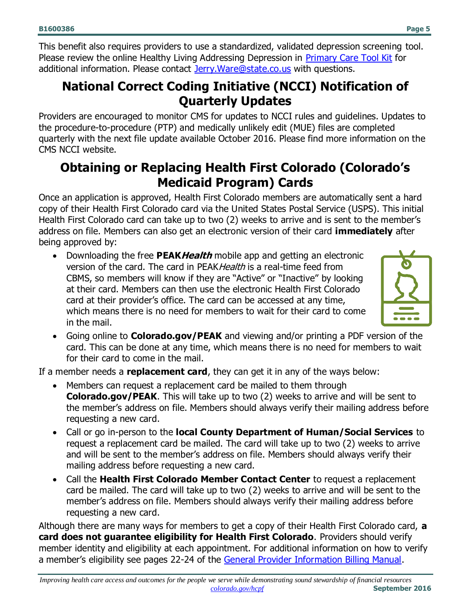**B1600386 Page 5**

This benefit also requires providers to use a standardized, validated depression screening tool. Please review the online Healthy Living Addressing Depression in [Primary Care Tool Kit](https://www.colorado.gov/hcpf/behavioral-health-focus-depression) for additional information. Please contact [Jerry.Ware@state.co.us](mailto:Jerry.Ware@state.co.us) with questions.

### <span id="page-4-0"></span>**National Correct Coding Initiative (NCCI) Notification of Quarterly Updates**

Providers are encouraged to monitor CMS for updates to NCCI rules and guidelines. Updates to the procedure-to-procedure (PTP) and medically unlikely edit (MUE) files are completed quarterly with the next file update available October 2016. Please find more information on the CMS NCCI website.

### <span id="page-4-1"></span>**Obtaining or Replacing Health First Colorado (Colorado's Medicaid Program) Cards**

Once an application is approved, Health First Colorado members are automatically sent a hard copy of their Health First Colorado card via the United States Postal Service (USPS). This initial Health First Colorado card can take up to two (2) weeks to arrive and is sent to the member's address on file. Members can also get an electronic version of their card **immediately** after being approved by:

 Downloading the free **PEAKHealth** mobile app and getting an electronic version of the card. The card in PEAK Health is a real-time feed from CBMS, so members will know if they are "Active" or "Inactive" by looking at their card. Members can then use the electronic Health First Colorado card at their provider's office. The card can be accessed at any time, which means there is no need for members to wait for their card to come in the mail.



 Going online to **Colorado.gov/PEAK** and viewing and/or printing a PDF version of the card. This can be done at any time, which means there is no need for members to wait for their card to come in the mail.

If a member needs a **replacement card**, they can get it in any of the ways below:

- Members can request a replacement card be mailed to them through **Colorado.gov/PEAK**. This will take up to two (2) weeks to arrive and will be sent to the member's address on file. Members should always verify their mailing address before requesting a new card.
- Call or go in-person to the **local County Department of Human/Social Services** to request a replacement card be mailed. The card will take up to two (2) weeks to arrive and will be sent to the member's address on file. Members should always verify their mailing address before requesting a new card.
- Call the **Health First Colorado Member Contact Center** to request a replacement card be mailed. The card will take up to two (2) weeks to arrive and will be sent to the member's address on file. Members should always verify their mailing address before requesting a new card.

Although there are many ways for members to get a copy of their Health First Colorado card, **a card does not guarantee eligibility for Health First Colorado**. Providers should verify member identity and eligibility at each appointment. For additional information on how to verify a member's eligibility see pages 22-24 of the [General Provider Information Billing Manual.](https://www.colorado.gov/pacific/sites/default/files/General_Provider_Information_0515_1.pdf)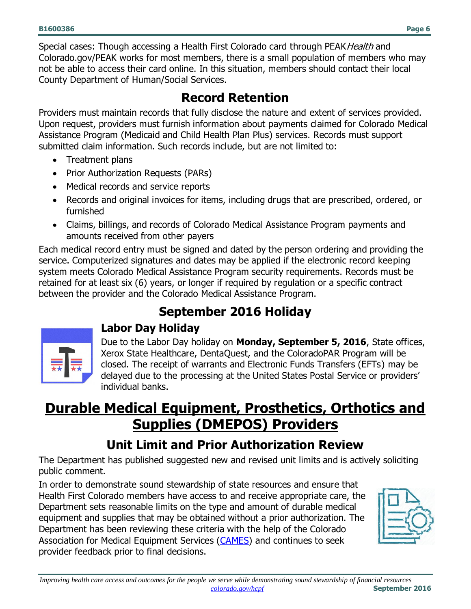Special cases: Though accessing a Health First Colorado card through PEAK Health and Colorado.gov/PEAK works for most members, there is a small population of members who may not be able to access their card online. In this situation, members should contact their local County Department of Human/Social Services.

### **Record Retention**

<span id="page-5-0"></span>Providers must maintain records that fully disclose the nature and extent of services provided. Upon request, providers must furnish information about payments claimed for Colorado Medical Assistance Program (Medicaid and Child Health Plan Plus) services. Records must support submitted claim information. Such records include, but are not limited to:

- Treatment plans
- Prior Authorization Requests (PARs)
- Medical records and service reports
- Records and original invoices for items, including drugs that are prescribed, ordered, or furnished
- Claims, billings, and records of Colorado Medical Assistance Program payments and amounts received from other payers

Each medical record entry must be signed and dated by the person ordering and providing the service. Computerized signatures and dates may be applied if the electronic record keeping system meets Colorado Medical Assistance Program security requirements. Records must be retained for at least six (6) years, or longer if required by regulation or a specific contract between the provider and the Colorado Medical Assistance Program.

## **September 2016 Holiday**

<span id="page-5-1"></span>

### **Labor Day Holiday**

Due to the Labor Day holiday on **Monday, September 5, 2016**, State offices, Xerox State Healthcare, DentaQuest, and the ColoradoPAR Program will be closed. The receipt of warrants and Electronic Funds Transfers (EFTs) may be delayed due to the processing at the United States Postal Service or providers' individual banks.

# <span id="page-5-2"></span>**Durable Medical Equipment, Prosthetics, Orthotics and Supplies (DMEPOS) Providers**

# **Unit Limit and Prior Authorization Review**

<span id="page-5-3"></span>The Department has published suggested new and revised unit limits and is actively soliciting public comment.

In order to demonstrate sound stewardship of state resources and ensure that Health First Colorado members have access to and receive appropriate care, the Department sets reasonable limits on the type and amount of durable medical equipment and supplies that may be obtained without a prior authorization. The Department has been reviewing these criteria with the help of the Colorado Association for Medical Equipment Services [\(CAMES\)](http://cames.org/) and continues to seek provider feedback prior to final decisions.

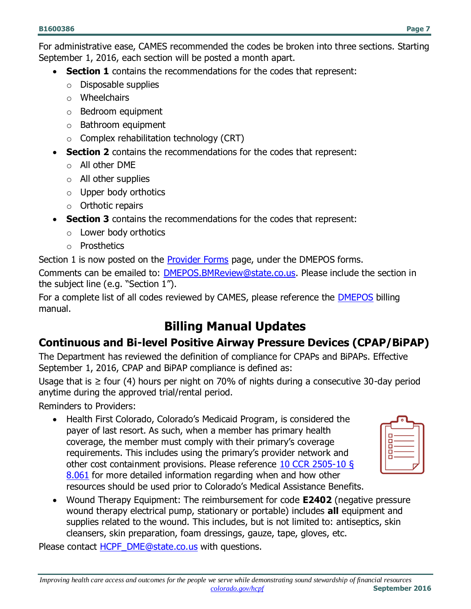For administrative ease, CAMES recommended the codes be broken into three sections. Starting September 1, 2016, each section will be posted a month apart.

- **Section 1** contains the recommendations for the codes that represent:
	- o Disposable supplies
	- o Wheelchairs
	- o Bedroom equipment
	- o Bathroom equipment
	- $\circ$  Complex rehabilitation technology (CRT)
- **Section 2** contains the recommendations for the codes that represent:
	- o All other DME
	- $\circ$  All other supplies
	- $\circ$  Upper body orthotics
	- $\circ$  Orthotic repairs
- **Section 3** contains the recommendations for the codes that represent:
	- o Lower body orthotics
	- o Prosthetics

Section 1 is now posted on the [Provider Forms](https://www.colorado.gov/pacific/hcpf/provider-forms) page, under the DMEPOS forms. Comments can be emailed to: [DMEPOS.BMReview@state.co.us.](mailto:DMEPOS.BMReview@state.co.us) Please include the section in the subject line (e.g. "Section 1").

For a complete list of all codes reviewed by CAMES, please reference the [DMEPOS](https://www.colorado.gov/pacific/hcpf/billing-manuals) billing manual.

### **Billing Manual Updates**

#### <span id="page-6-0"></span>**Continuous and Bi-level Positive Airway Pressure Devices (CPAP/BiPAP)**

The Department has reviewed the definition of compliance for CPAPs and BiPAPs. Effective September 1, 2016, CPAP and BiPAP compliance is defined as:

Usage that is  $\geq$  four (4) hours per night on 70% of nights during a consecutive 30-day period anytime during the approved trial/rental period.

Reminders to Providers:

• Health First Colorado, Colorado's Medicaid Program, is considered the payer of last resort. As such, when a member has primary health coverage, the member must comply with their primary's coverage requirements. This includes using the primary's provider network and other cost containment provisions. Please reference [10 CCR 2505-10 §](http://www.sos.state.co.us/CCR/GenerateRulePdf.do?ruleVersionId=6329&fileName=10%20CCR%202505-10%208.000)  [8.061](http://www.sos.state.co.us/CCR/GenerateRulePdf.do?ruleVersionId=6329&fileName=10%20CCR%202505-10%208.000) for more detailed information regarding when and how other resources should be used prior to Colorado's Medical Assistance Benefits.

| ௳<br>г |
|--------|
| с<br>с |
| п      |
| п      |
|        |

 Wound Therapy Equipment: The reimbursement for code **E2402** (negative pressure wound therapy electrical pump, stationary or portable) includes **all** equipment and supplies related to the wound. This includes, but is not limited to: antiseptics, skin cleansers, skin preparation, foam dressings, gauze, tape, gloves, etc.

Please contact [HCPF\\_DME@state.co.us](mailto:HCPF_DME@state.co.us) with questions.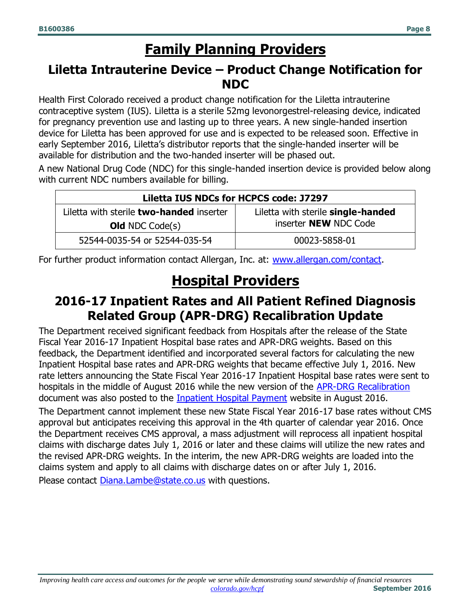# **Family Planning Providers**

### <span id="page-7-1"></span><span id="page-7-0"></span>**Liletta Intrauterine Device – Product Change Notification for NDC**

Health First Colorado received a product change notification for the Liletta intrauterine contraceptive system (IUS). Liletta is a sterile 52mg levonorgestrel-releasing device, indicated for pregnancy prevention use and lasting up to three years. A new single-handed insertion device for Liletta has been approved for use and is expected to be released soon. Effective in early September 2016, Liletta's distributor reports that the single-handed inserter will be available for distribution and the two-handed inserter will be phased out.

A new National Drug Code (NDC) for this single-handed insertion device is provided below along with current NDC numbers available for billing.

| Liletta IUS NDCs for HCPCS code: J7297          |                                    |  |  |
|-------------------------------------------------|------------------------------------|--|--|
| Liletta with sterile <b>two-handed</b> inserter | Liletta with sterile single-handed |  |  |
| <b>Old</b> NDC Code(s)                          | inserter <b>NEW</b> NDC Code       |  |  |
| 52544-0035-54 or 52544-035-54                   | 00023-5858-01                      |  |  |

<span id="page-7-2"></span>For further product information contact Allergan, Inc. at: [www.allergan.com/contact.](http://www.allergan.com/contact)

# **Hospital Providers**

### <span id="page-7-3"></span>**2016-17 Inpatient Rates and All Patient Refined Diagnosis Related Group (APR-DRG) Recalibration Update**

The Department received significant feedback from Hospitals after the release of the State Fiscal Year 2016-17 Inpatient Hospital base rates and APR-DRG weights. Based on this feedback, the Department identified and incorporated several factors for calculating the new Inpatient Hospital base rates and APR-DRG weights that became effective July 1, 2016. New rate letters announcing the State Fiscal Year 2016-17 Inpatient Hospital base rates were sent to hospitals in the middle of August 2016 while the new version of the [APR-DRG Recalibration](https://www.colorado.gov/pacific/sites/default/files/DRG_Weight_Tables_070116.pdf) document was also posted to the [Inpatient Hospital Payment](https://www.colorado.gov/hcpf/inpatient-hospital-payment) website in August 2016.

The Department cannot implement these new State Fiscal Year 2016-17 base rates without CMS approval but anticipates receiving this approval in the 4th quarter of calendar year 2016. Once the Department receives CMS approval, a mass adjustment will reprocess all inpatient hospital claims with discharge dates July 1, 2016 or later and these claims will utilize the new rates and the revised APR-DRG weights. In the interim, the new APR-DRG weights are loaded into the claims system and apply to all claims with discharge dates on or after July 1, 2016.

Please contact [Diana.Lambe@state.co.us](mailto:Diana.Lambe@state.co.us) with questions.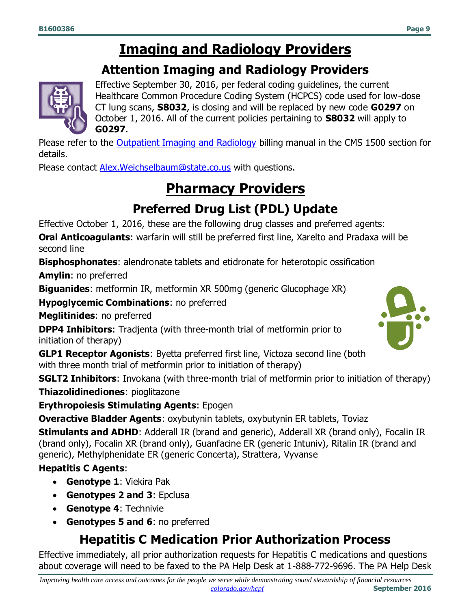### **Imaging and Radiology Providers**

### **Attention Imaging and Radiology Providers**

<span id="page-8-1"></span><span id="page-8-0"></span>

Effective September 30, 2016, per federal coding guidelines, the current Healthcare Common Procedure Coding System (HCPCS) code used for low-dose CT lung scans, **S8032**, is closing and will be replaced by new code **G0297** on October 1, 2016. All of the current policies pertaining to **S8032** will apply to **G0297**.

Please refer to the **Outpatient Imaging and Radiology** billing manual in the CMS 1500 section for details.

<span id="page-8-2"></span>Please contact [Alex.Weichselbaum@state.co.us](mailto:Alex.Weichselbaum@state.co.us) with questions.

# **Pharmacy Providers**

### **Preferred Drug List (PDL) Update**

<span id="page-8-3"></span>Effective October 1, 2016, these are the following drug classes and preferred agents:

**Oral Anticoagulants**: warfarin will still be preferred first line, Xarelto and Pradaxa will be second line

**Bisphosphonates**: alendronate tablets and etidronate for heterotopic ossification

**Amylin**: no preferred

**Biguanides**: metformin IR, metformin XR 500mg (generic Glucophage XR)

**Hypoglycemic Combinations**: no preferred

**Meglitinides**: no preferred

**DPP4 Inhibitors**: Tradjenta (with three-month trial of metformin prior to initiation of therapy)

**GLP1 Receptor Agonists**: Byetta preferred first line, Victoza second line (both with three month trial of metformin prior to initiation of therapy)

**SGLT2 Inhibitors**: Invokana (with three-month trial of metformin prior to initiation of therapy) **Thiazolidinediones**: pioglitazone

**Erythropoiesis Stimulating Agents**: Epogen

**Overactive Bladder Agents**: oxybutynin tablets, oxybutynin ER tablets, Toviaz

**Stimulants and ADHD**: Adderall IR (brand and generic), Adderall XR (brand only), Focalin IR (brand only), Focalin XR (brand only), Guanfacine ER (generic Intuniv), Ritalin IR (brand and generic), Methylphenidate ER (generic Concerta), Strattera, Vyvanse

**Hepatitis C Agents**:

- **Genotype 1**: Viekira Pak
- **Genotypes 2 and 3**: Epclusa
- **Genotype 4**: Technivie
- <span id="page-8-4"></span>**Genotypes 5 and 6**: no preferred

### **Hepatitis C Medication Prior Authorization Process**

Effective immediately, all prior authorization requests for Hepatitis C medications and questions about coverage will need to be faxed to the PA Help Desk at 1-888-772-9696. The PA Help Desk

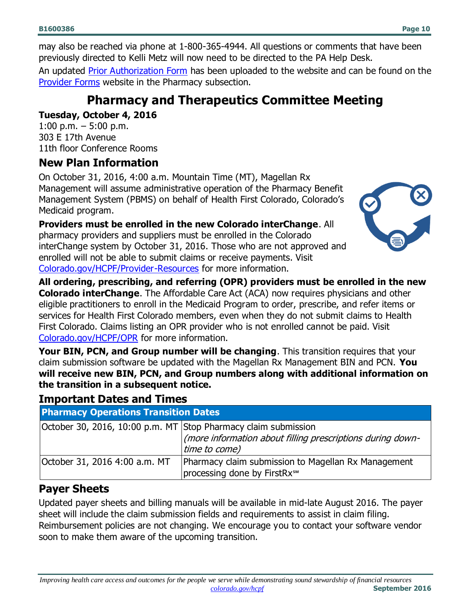may also be reached via phone at 1-800-365-4944. All questions or comments that have been previously directed to Kelli Metz will now need to be directed to the PA Help Desk.

<span id="page-9-0"></span>An updated **Prior Authorization Form** has been uploaded to the website and can be found on the [Provider Forms](https://www.colorado.gov/pacific/hcpf/provider-forms) website in the Pharmacy subsection.

### **Pharmacy and Therapeutics Committee Meeting**

#### **Tuesday, October 4, 2016**

1:00 p.m.  $-5:00$  p.m. 303 E 17th Avenue 11th floor Conference Rooms

#### **New Plan Information**

On October 31, 2016, 4:00 a.m. Mountain Time (MT), Magellan Rx Management will assume administrative operation of the Pharmacy Benefit Management System (PBMS) on behalf of Health First Colorado, Colorado's Medicaid program.

**Providers must be enrolled in the new Colorado interChange**. All pharmacy providers and suppliers must be enrolled in the Colorado interChange system by October 31, 2016. Those who are not approved and enrolled will not be able to submit claims or receive payments. Visit [Colorado.gov/HCPF/Provider-Resources](http://www.colorado.gov/HCPF/Provider-Resources) for more information.



**All ordering, prescribing, and referring (OPR) providers must be enrolled in the new Colorado interChange**. The Affordable Care Act (ACA) now requires physicians and other eligible practitioners to enroll in the Medicaid Program to order, prescribe, and refer items or services for Health First Colorado members, even when they do not submit claims to Health First Colorado. Claims listing an OPR provider who is not enrolled cannot be paid. Visit [Colorado.gov/HCPF/OPR](http://www.colorado.gov/HCPF/OPR) for more information.

**Your BIN, PCN, and Group number will be changing**. This transition requires that your claim submission software be updated with the Magellan Rx Management BIN and PCN. **You will receive new BIN, PCN, and Group numbers along with additional information on the transition in a subsequent notice.**

#### **Important Dates and Times**

**Pharmacy Operations Transition Dates**

| October 30, 2016, 10:00 p.m. MT Stop Pharmacy claim submission | (more information about filling prescriptions during down-<br>time to come)                     |
|----------------------------------------------------------------|-------------------------------------------------------------------------------------------------|
| October 31, 2016 4:00 a.m. MT                                  | Pharmacy claim submission to Magellan Rx Management<br>processing done by FirstRx <sup>5M</sup> |

#### **Payer Sheets**

Updated payer sheets and billing manuals will be available in mid-late August 2016. The payer sheet will include the claim submission fields and requirements to assist in claim filing. Reimbursement policies are not changing. We encourage you to contact your software vendor soon to make them aware of the upcoming transition.